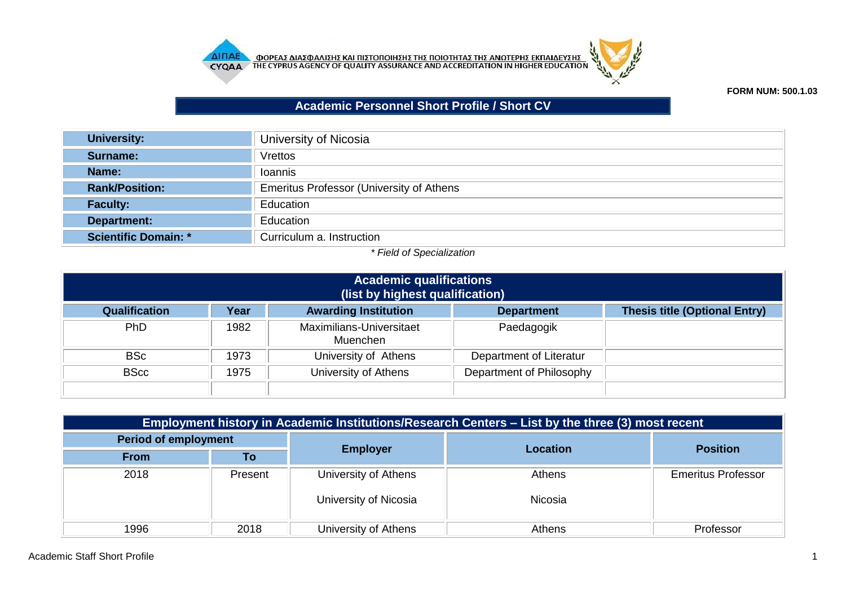



## **FORM NUM: 500.1.03**

## **Academic Personnel Short Profile / Short CV**

| <b>University:</b>          | University of Nicosia                           |
|-----------------------------|-------------------------------------------------|
| Surname:                    | <b>Vrettos</b>                                  |
| Name:                       | Ioannis                                         |
| <b>Rank/Position:</b>       | <b>Emeritus Professor (University of Athens</b> |
| <b>Faculty:</b>             | Education                                       |
| Department:                 | Education                                       |
| <b>Scientific Domain: *</b> | Curriculum a. Instruction                       |

## *\* Field of Specialization*

| <b>Academic qualifications</b><br>(list by highest qualification)       |                                                                                                  |                                      |                         |  |  |  |
|-------------------------------------------------------------------------|--------------------------------------------------------------------------------------------------|--------------------------------------|-------------------------|--|--|--|
| <b>Qualification</b>                                                    | <b>Awarding Institution</b><br><b>Thesis title (Optional Entry)</b><br>Year<br><b>Department</b> |                                      |                         |  |  |  |
| Ph <sub>D</sub>                                                         | 1982                                                                                             | Maximilians-Universitaet<br>Muenchen | Paedagogik              |  |  |  |
| <b>BSc</b>                                                              | 1973                                                                                             | University of Athens                 | Department of Literatur |  |  |  |
| University of Athens<br>Department of Philosophy<br><b>BScc</b><br>1975 |                                                                                                  |                                      |                         |  |  |  |

| Employment history in Academic Institutions/Research Centers – List by the three (3) most recent |         |                       |                 |                           |  |
|--------------------------------------------------------------------------------------------------|---------|-----------------------|-----------------|---------------------------|--|
| <b>Period of employment</b>                                                                      |         |                       |                 |                           |  |
| <b>From</b>                                                                                      | Τo      | <b>Employer</b>       | <b>Location</b> | <b>Position</b>           |  |
| 2018                                                                                             | Present | University of Athens  | Athens          | <b>Emeritus Professor</b> |  |
|                                                                                                  |         | University of Nicosia | Nicosia         |                           |  |
| 1996                                                                                             | 2018    | University of Athens  | Athens          | Professor                 |  |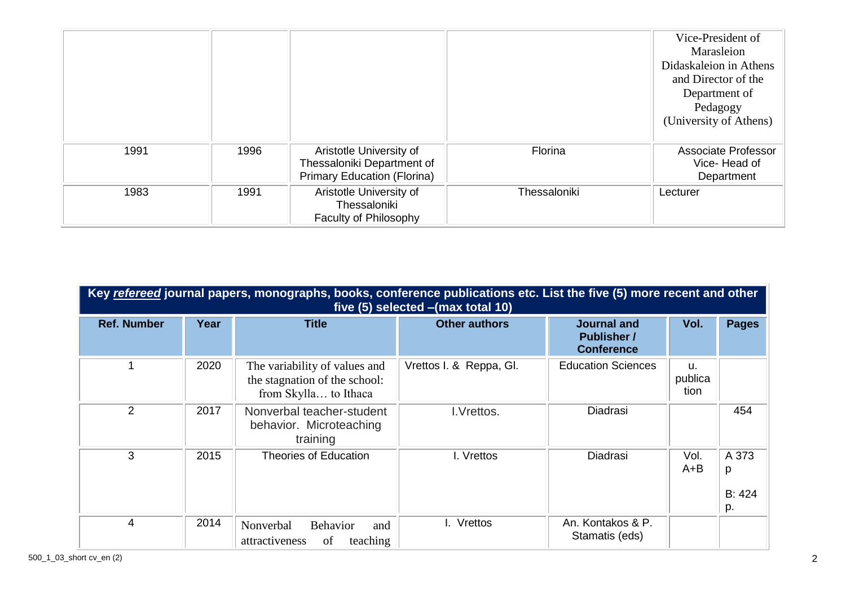|      |      |                                                                                             |              | Vice-President of<br>Marasleion<br>Didaskaleion in Athens<br>and Director of the<br>Department of<br>Pedagogy<br>(University of Athens) |
|------|------|---------------------------------------------------------------------------------------------|--------------|-----------------------------------------------------------------------------------------------------------------------------------------|
| 1991 | 1996 | Aristotle University of<br>Thessaloniki Department of<br><b>Primary Education (Florina)</b> | Florina      | Associate Professor<br>Vice-Head of<br>Department                                                                                       |
| 1983 | 1991 | Aristotle University of<br>Thessaloniki<br>Faculty of Philosophy                            | Thessaloniki | Lecturer                                                                                                                                |

| Key refereed journal papers, monographs, books, conference publications etc. List the five (5) more recent and other<br>five (5) selected - (max total 10) |      |                                                                                         |                         |                                                               |                       |                            |
|------------------------------------------------------------------------------------------------------------------------------------------------------------|------|-----------------------------------------------------------------------------------------|-------------------------|---------------------------------------------------------------|-----------------------|----------------------------|
| <b>Ref. Number</b>                                                                                                                                         | Year | <b>Title</b>                                                                            | <b>Other authors</b>    | <b>Journal and</b><br><b>Publisher</b> /<br><b>Conference</b> | Vol.                  | <b>Pages</b>               |
|                                                                                                                                                            | 2020 | The variability of values and<br>the stagnation of the school:<br>from Skylla to Ithaca | Vrettos I. & Reppa, Gl. | <b>Education Sciences</b>                                     | u.<br>publica<br>tion |                            |
| 2                                                                                                                                                          | 2017 | Nonverbal teacher-student<br>behavior. Microteaching<br>training                        | I.Vrettos.              | Diadrasi                                                      |                       | 454                        |
| 3                                                                                                                                                          | 2015 | <b>Theories of Education</b>                                                            | I. Vrettos              | Diadrasi                                                      | Vol.<br>$A + B$       | A 373<br>p<br>B: 424<br>p. |
| 4                                                                                                                                                          | 2014 | Nonverbal<br><b>Behavior</b><br>and<br>attractiveness<br>of<br>teaching                 | I. Vrettos              | An. Kontakos & P.<br>Stamatis (eds)                           |                       |                            |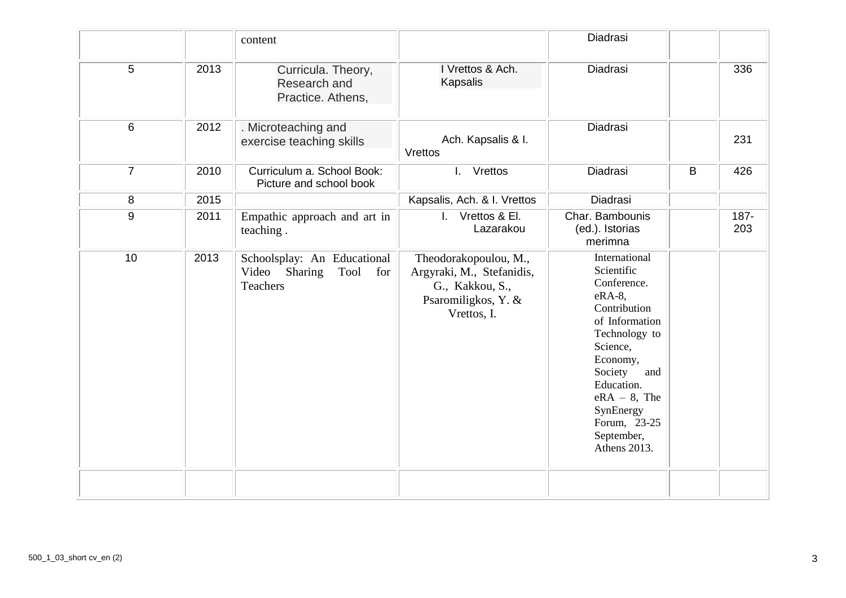|                |      | content                                                                     |                                                                                                             | Diadrasi                                                                                                                                                                                                                                      |             |             |
|----------------|------|-----------------------------------------------------------------------------|-------------------------------------------------------------------------------------------------------------|-----------------------------------------------------------------------------------------------------------------------------------------------------------------------------------------------------------------------------------------------|-------------|-------------|
| 5              | 2013 | Curricula. Theory,<br>Research and<br>Practice. Athens,                     | I Vrettos & Ach.<br>Kapsalis                                                                                | Diadrasi                                                                                                                                                                                                                                      |             | 336         |
| 6              | 2012 | . Microteaching and<br>exercise teaching skills                             | Ach. Kapsalis & I.<br>Vrettos                                                                               | Diadrasi                                                                                                                                                                                                                                      |             | 231         |
| $\overline{7}$ | 2010 | Curriculum a. School Book:<br>Picture and school book                       | $\mathbf{L}$<br>Vrettos                                                                                     | Diadrasi                                                                                                                                                                                                                                      | $\mathsf B$ | 426         |
| 8              | 2015 |                                                                             | Kapsalis, Ach. & I. Vrettos                                                                                 | Diadrasi                                                                                                                                                                                                                                      |             |             |
| 9              | 2011 | Empathic approach and art in<br>teaching.                                   | I. Vrettos & El.<br>Lazarakou                                                                               | Char. Bambounis<br>(ed.). Istorias<br>merimna                                                                                                                                                                                                 |             | 187-<br>203 |
| 10             | 2013 | Schoolsplay: An Educational<br>Video Sharing<br>Tool for<br><b>Teachers</b> | Theodorakopoulou, M.,<br>Argyraki, M., Stefanidis,<br>G., Kakkou, S.,<br>Psaromiligkos, Y. &<br>Vrettos, I. | International<br>Scientific<br>Conference.<br>eRA-8,<br>Contribution<br>of Information<br>Technology to<br>Science,<br>Economy,<br>Society<br>and<br>Education.<br>$eRA - 8$ , The<br>SynEnergy<br>Forum, 23-25<br>September,<br>Athens 2013. |             |             |
|                |      |                                                                             |                                                                                                             |                                                                                                                                                                                                                                               |             |             |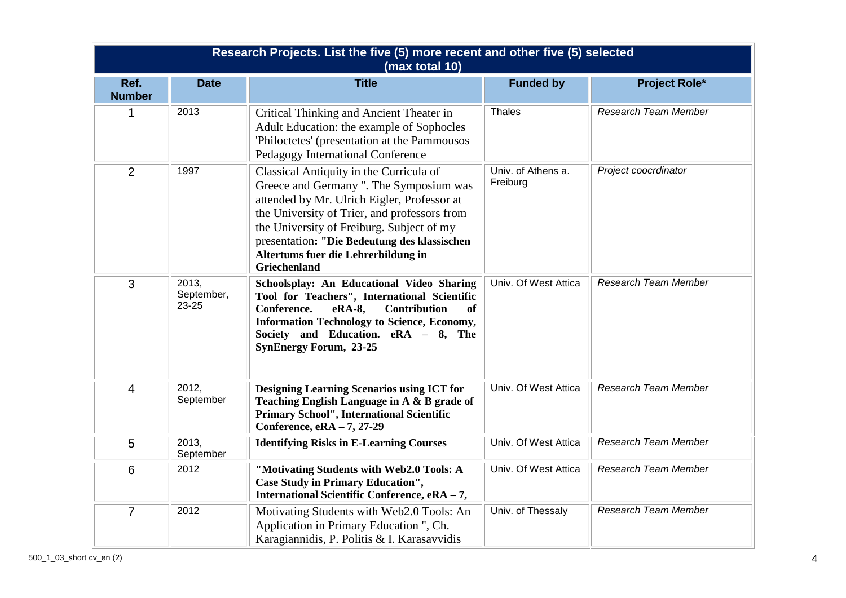| Research Projects. List the five (5) more recent and other five (5) selected<br>(max total 10) |                              |                                                                                                                                                                                                                                                                                                                                              |                                |                             |  |
|------------------------------------------------------------------------------------------------|------------------------------|----------------------------------------------------------------------------------------------------------------------------------------------------------------------------------------------------------------------------------------------------------------------------------------------------------------------------------------------|--------------------------------|-----------------------------|--|
| Ref.<br><b>Number</b>                                                                          | <b>Date</b>                  | <b>Title</b>                                                                                                                                                                                                                                                                                                                                 | <b>Funded by</b>               | <b>Project Role*</b>        |  |
| 1                                                                                              | 2013                         | Critical Thinking and Ancient Theater in<br>Adult Education: the example of Sophocles<br>'Philoctetes' (presentation at the Pammousos<br>Pedagogy International Conference                                                                                                                                                                   | Thales                         | <b>Research Team Member</b> |  |
| $\overline{2}$                                                                                 | 1997                         | Classical Antiquity in the Curricula of<br>Greece and Germany ". The Symposium was<br>attended by Mr. Ulrich Eigler, Professor at<br>the University of Trier, and professors from<br>the University of Freiburg. Subject of my<br>presentation: "Die Bedeutung des klassischen<br>Altertums fuer die Lehrerbildung in<br><b>Griechenland</b> | Univ. of Athens a.<br>Freiburg | Project coocrdinator        |  |
| 3                                                                                              | 2013,<br>September,<br>23-25 | Schoolsplay: An Educational Video Sharing<br>Tool for Teachers", International Scientific<br>Conference.<br>eRA-8,<br><b>Contribution</b><br>of<br><b>Information Technology to Science, Economy,</b><br>Society and Education. eRA - 8, The<br><b>SynEnergy Forum, 23-25</b>                                                                | Univ. Of West Attica           | <b>Research Team Member</b> |  |
| $\overline{4}$                                                                                 | 2012,<br>September           | <b>Designing Learning Scenarios using ICT for</b><br>Teaching English Language in A & B grade of<br>Primary School", International Scientific<br>Conference, eRA - 7, 27-29                                                                                                                                                                  | Univ. Of West Attica           | Research Team Member        |  |
| 5                                                                                              | 2013,<br>September           | <b>Identifying Risks in E-Learning Courses</b>                                                                                                                                                                                                                                                                                               | Univ. Of West Attica           | <b>Research Team Member</b> |  |
| 6                                                                                              | 2012                         | "Motivating Students with Web2.0 Tools: A<br><b>Case Study in Primary Education",</b><br>International Scientific Conference, eRA - 7,                                                                                                                                                                                                       | Univ. Of West Attica           | Research Team Member        |  |
| $\overline{7}$                                                                                 | 2012                         | Motivating Students with Web2.0 Tools: An<br>Application in Primary Education ", Ch.<br>Karagiannidis, P. Politis & I. Karasavvidis                                                                                                                                                                                                          | Univ. of Thessaly              | <b>Research Team Member</b> |  |